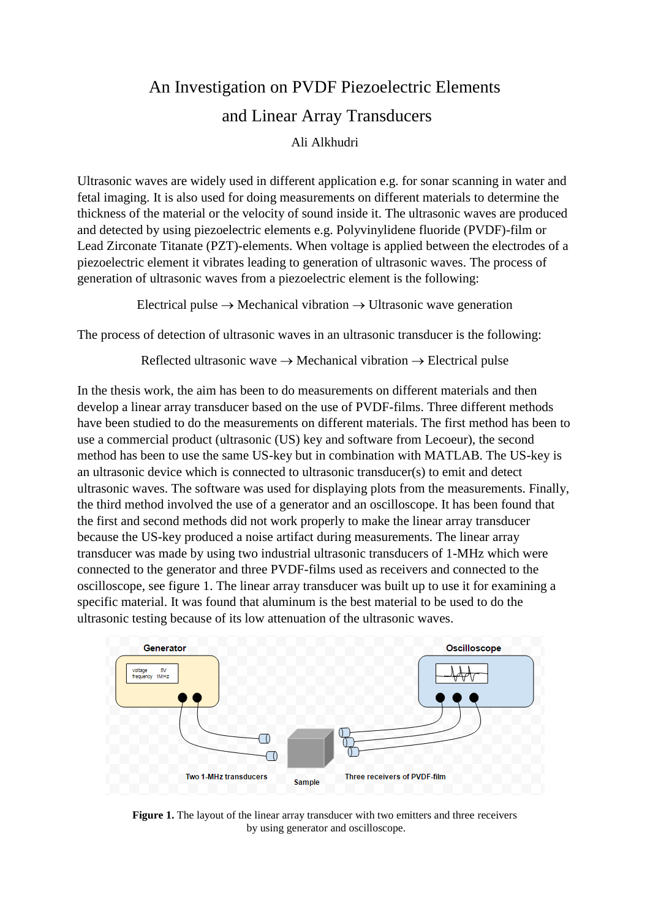## An Investigation on PVDF Piezoelectric Elements and Linear Array Transducers

Ali Alkhudri

Ultrasonic waves are widely used in different application e.g. for sonar scanning in water and fetal imaging. It is also used for doing measurements on different materials to determine the thickness of the material or the velocity of sound inside it. The ultrasonic waves are produced and detected by using piezoelectric elements e.g. Polyvinylidene fluoride (PVDF)-film or Lead Zirconate Titanate (PZT)-elements. When voltage is applied between the electrodes of a piezoelectric element it vibrates leading to generation of ultrasonic waves. The process of generation of ultrasonic waves from a piezoelectric element is the following:

Electrical pulse  $\rightarrow$  Mechanical vibration  $\rightarrow$  Ultrasonic wave generation

The process of detection of ultrasonic waves in an ultrasonic transducer is the following:

Reflected ultrasonic wave  $\rightarrow$  Mechanical vibration  $\rightarrow$  Electrical pulse

In the thesis work, the aim has been to do measurements on different materials and then develop a linear array transducer based on the use of PVDF-films. Three different methods have been studied to do the measurements on different materials. The first method has been to use a commercial product (ultrasonic (US) key and software from Lecoeur), the second method has been to use the same US-key but in combination with MATLAB. The US-key is an ultrasonic device which is connected to ultrasonic transducer(s) to emit and detect ultrasonic waves. The software was used for displaying plots from the measurements. Finally, the third method involved the use of a generator and an oscilloscope. It has been found that the first and second methods did not work properly to make the linear array transducer because the US-key produced a noise artifact during measurements. The linear array transducer was made by using two industrial ultrasonic transducers of 1-MHz which were connected to the generator and three PVDF-films used as receivers and connected to the oscilloscope, see figure 1. The linear array transducer was built up to use it for examining a specific material. It was found that aluminum is the best material to be used to do the ultrasonic testing because of its low attenuation of the ultrasonic waves.



**Figure 1.** The layout of the linear array transducer with two emitters and three receivers by using generator and oscilloscope.